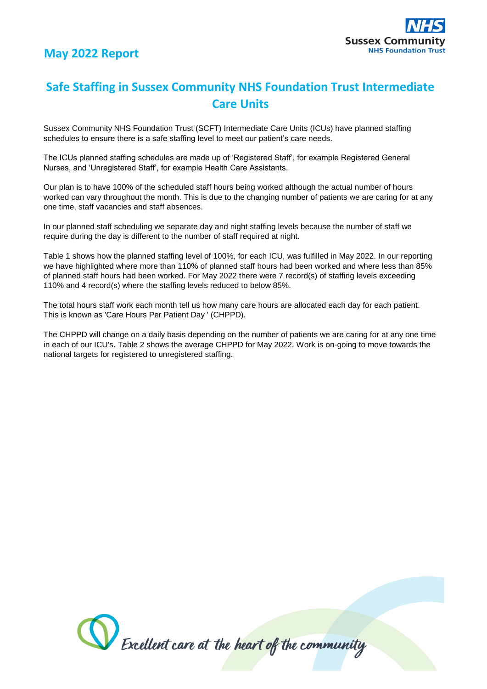

## **Safe Staffing in Sussex Community NHS Foundation Trust Intermediate Care Units**

Sussex Community NHS Foundation Trust (SCFT) Intermediate Care Units (ICUs) have planned staffing schedules to ensure there is a safe staffing level to meet our patient's care needs.

The ICUs planned staffing schedules are made up of 'Registered Staff', for example Registered General Nurses, and 'Unregistered Staff', for example Health Care Assistants.

Our plan is to have 100% of the scheduled staff hours being worked although the actual number of hours worked can vary throughout the month. This is due to the changing number of patients we are caring for at any one time, staff vacancies and staff absences.

In our planned staff scheduling we separate day and night staffing levels because the number of staff we require during the day is different to the number of staff required at night.

Table 1 shows how the planned staffing level of 100%, for each ICU, was fulfilled in May 2022. In our reporting we have highlighted where more than 110% of planned staff hours had been worked and where less than 85% of planned staff hours had been worked. For May 2022 there were 7 record(s) of staffing levels exceeding 110% and 4 record(s) where the staffing levels reduced to below 85%.

The total hours staff work each month tell us how many care hours are allocated each day for each patient. This is known as 'Care Hours Per Patient Day ' (CHPPD).

The CHPPD will change on a daily basis depending on the number of patients we are caring for at any one time in each of our ICU's. Table 2 shows the average CHPPD for May 2022. Work is on-going to move towards the national targets for registered to unregistered staffing.

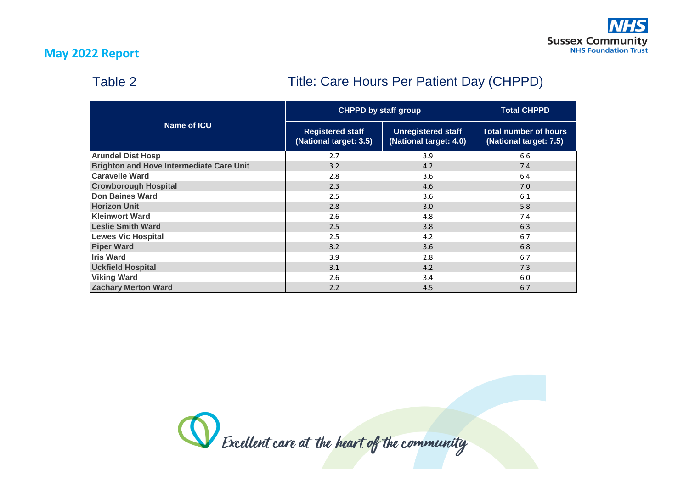#### **May 2022 Report**

## Table 2

## Title: Care Hours Per Patient Day (CHPPD)

| Name of ICU                                     | <b>CHPPD by staff group</b>                       |                                                     | <b>Total CHPPD</b>                                     |
|-------------------------------------------------|---------------------------------------------------|-----------------------------------------------------|--------------------------------------------------------|
|                                                 | <b>Registered staff</b><br>(National target: 3.5) | <b>Unregistered staff</b><br>(National target: 4.0) | <b>Total number of hours</b><br>(National target: 7.5) |
| <b>Arundel Dist Hosp</b>                        | 2.7                                               | 3.9                                                 | 6.6                                                    |
| <b>Brighton and Hove Intermediate Care Unit</b> | 3.2                                               | 4.2                                                 | 7.4                                                    |
| <b>Caravelle Ward</b>                           | 2.8                                               | 3.6                                                 | 6.4                                                    |
| <b>Crowborough Hospital</b>                     | 2.3                                               | 4.6                                                 | 7.0                                                    |
| <b>Don Baines Ward</b>                          | 2.5                                               | 3.6                                                 | 6.1                                                    |
| <b>Horizon Unit</b>                             | 2.8                                               | 3.0                                                 | 5.8                                                    |
| <b>Kleinwort Ward</b>                           | 2.6                                               | 4.8                                                 | 7.4                                                    |
| <b>Leslie Smith Ward</b>                        | 2.5                                               | 3.8                                                 | 6.3                                                    |
| <b>Lewes Vic Hospital</b>                       | 2.5                                               | 4.2                                                 | 6.7                                                    |
| <b>Piper Ward</b>                               | 3.2                                               | 3.6                                                 | 6.8                                                    |
| <b>Iris Ward</b>                                | 3.9                                               | 2.8                                                 | 6.7                                                    |
| <b>Uckfield Hospital</b>                        | 3.1                                               | 4.2                                                 | 7.3                                                    |
| <b>Viking Ward</b>                              | 2.6                                               | 3.4                                                 | 6.0                                                    |
| <b>Zachary Merton Ward</b>                      | 2.2                                               | 4.5                                                 | 6.7                                                    |